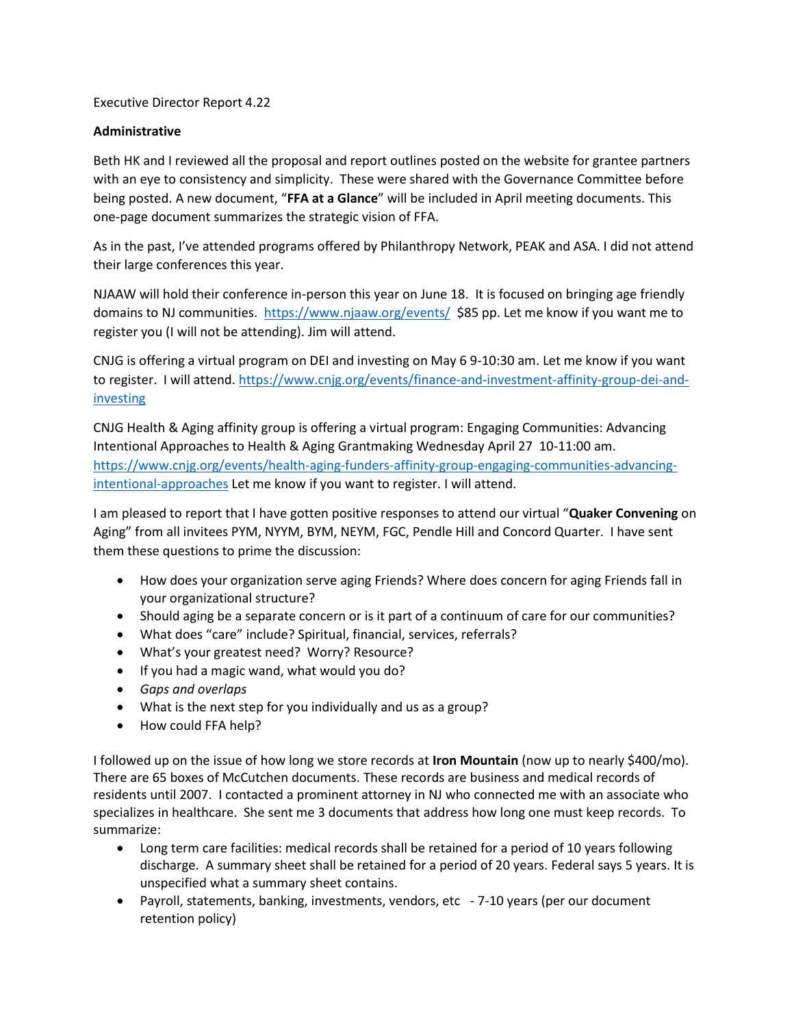Executive Director Report 4.22

## **Administrative**

Beth HK and I reviewed all the proposal and report outlines posted on the website for grantee partners with an eye to consistency and simplicity. These were shared with the Governance Committee before being posted. A new document, "**FFA at a Glance**" will be included in April meeting documents. This one-page document summarizes the strategic vision of FFA.

As in the past, I've attended programs offered by Philanthropy Network, PEAK and ASA. I did not attend their large conferences this year.

NJAAW will hold their conference in-person this year on June 18. It is focused on bringing age friendly domains to NJ communities.<https://www.njaaw.org/events/>\$85 pp. Let me know if you want me to register you (I will not be attending). Jim will attend.

CNJG is offering a virtual program on DEI and investing on May 6 9-10:30 am. Let me know if you want to register. I will attend. [https://www.cnjg.org/events/finance-and-investment-affinity-group-dei-and](https://www.cnjg.org/events/finance-and-investment-affinity-group-dei-and-investing)[investing](https://www.cnjg.org/events/finance-and-investment-affinity-group-dei-and-investing)

CNJG Health & Aging affinity group is offering a virtual program: Engaging Communities: Advancing Intentional Approaches to Health & Aging Grantmaking Wednesday April 27 10-11:00 am. [https://www.cnjg.org/events/health-aging-funders-affinity-group-engaging-communities-advancing](https://www.cnjg.org/events/health-aging-funders-affinity-group-engaging-communities-advancing-intentional-approaches)[intentional-approaches](https://www.cnjg.org/events/health-aging-funders-affinity-group-engaging-communities-advancing-intentional-approaches) Let me know if you want to register. I will attend.

I am pleased to report that I have gotten positive responses to attend our virtual "**Quaker Convening** on Aging" from all invitees PYM, NYYM, BYM, NEYM, FGC, Pendle Hill and Concord Quarter. I have sent them these questions to prime the discussion:

- How does your organization serve aging Friends? Where does concern for aging Friends fall in your organizational structure?
- Should aging be a separate concern or is it part of a continuum of care for our communities?
- What does "care" include? Spiritual, financial, services, referrals?
- What's your greatest need? Worry? Resource?
- If you had a magic wand, what would you do?
- *Gaps and overlaps*
- What is the next step for you individually and us as a group?
- How could FFA help?

I followed up on the issue of how long we store records at **Iron Mountain** (now up to nearly \$400/mo). There are 65 boxes of McCutchen documents. These records are business and medical records of residents until 2007. I contacted a prominent attorney in NJ who connected me with an associate who specializes in healthcare. She sent me 3 documents that address how long one must keep records. To summarize:

- Long term care facilities: medical records shall be retained for a period of 10 years following discharge. A summary sheet shall be retained for a period of 20 years. Federal says 5 years. It is unspecified what a summary sheet contains.
- Payroll, statements, banking, investments, vendors, etc 7-10 years (per our document retention policy)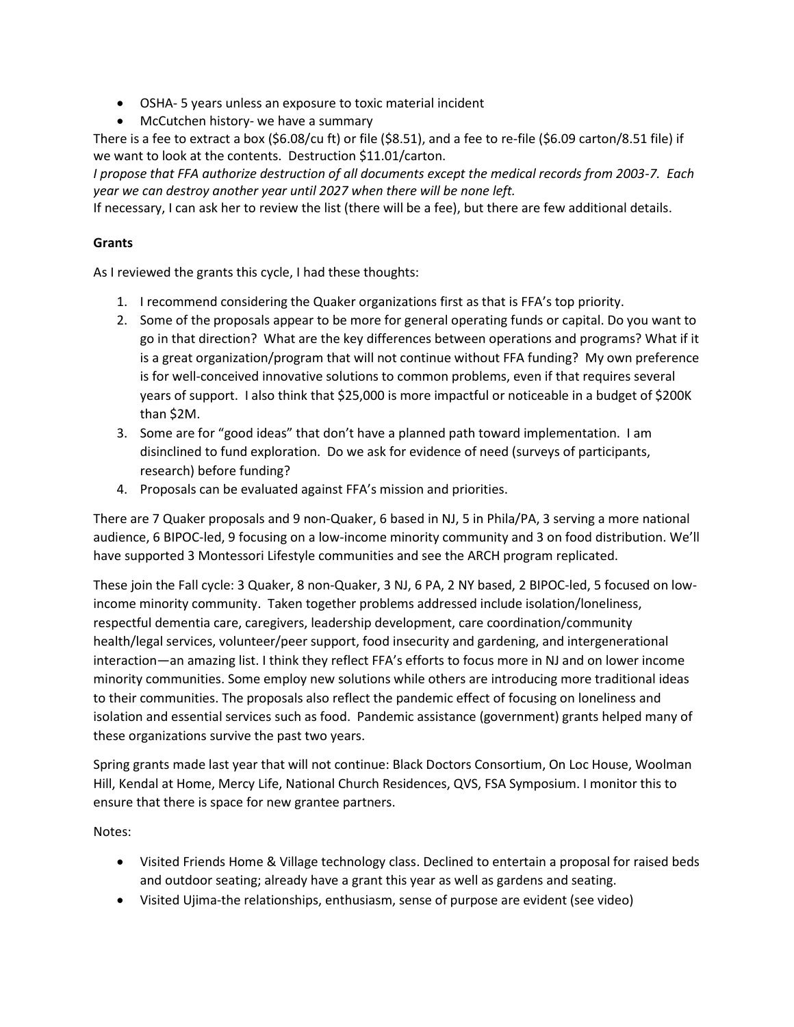- OSHA- 5 years unless an exposure to toxic material incident
- McCutchen history- we have a summary

There is a fee to extract a box (\$6.08/cu ft) or file (\$8.51), and a fee to re-file (\$6.09 carton/8.51 file) if we want to look at the contents. Destruction \$11.01/carton.

*I propose that FFA authorize destruction of all documents except the medical records from 2003-7. Each year we can destroy another year until 2027 when there will be none left.*

If necessary, I can ask her to review the list (there will be a fee), but there are few additional details.

## **Grants**

As I reviewed the grants this cycle, I had these thoughts:

- 1. I recommend considering the Quaker organizations first as that is FFA's top priority.
- 2. Some of the proposals appear to be more for general operating funds or capital. Do you want to go in that direction? What are the key differences between operations and programs? What if it is a great organization/program that will not continue without FFA funding? My own preference is for well-conceived innovative solutions to common problems, even if that requires several years of support. I also think that \$25,000 is more impactful or noticeable in a budget of \$200K than \$2M.
- 3. Some are for "good ideas" that don't have a planned path toward implementation. I am disinclined to fund exploration. Do we ask for evidence of need (surveys of participants, research) before funding?
- 4. Proposals can be evaluated against FFA's mission and priorities.

There are 7 Quaker proposals and 9 non-Quaker, 6 based in NJ, 5 in Phila/PA, 3 serving a more national audience, 6 BIPOC-led, 9 focusing on a low-income minority community and 3 on food distribution. We'll have supported 3 Montessori Lifestyle communities and see the ARCH program replicated.

These join the Fall cycle: 3 Quaker, 8 non-Quaker, 3 NJ, 6 PA, 2 NY based, 2 BIPOC-led, 5 focused on lowincome minority community. Taken together problems addressed include isolation/loneliness, respectful dementia care, caregivers, leadership development, care coordination/community health/legal services, volunteer/peer support, food insecurity and gardening, and intergenerational interaction—an amazing list. I think they reflect FFA's efforts to focus more in NJ and on lower income minority communities. Some employ new solutions while others are introducing more traditional ideas to their communities. The proposals also reflect the pandemic effect of focusing on loneliness and isolation and essential services such as food. Pandemic assistance (government) grants helped many of these organizations survive the past two years.

Spring grants made last year that will not continue: Black Doctors Consortium, On Loc House, Woolman Hill, Kendal at Home, Mercy Life, National Church Residences, QVS, FSA Symposium. I monitor this to ensure that there is space for new grantee partners.

Notes:

- Visited Friends Home & Village technology class. Declined to entertain a proposal for raised beds and outdoor seating; already have a grant this year as well as gardens and seating.
- Visited Ujima-the relationships, enthusiasm, sense of purpose are evident (see video)